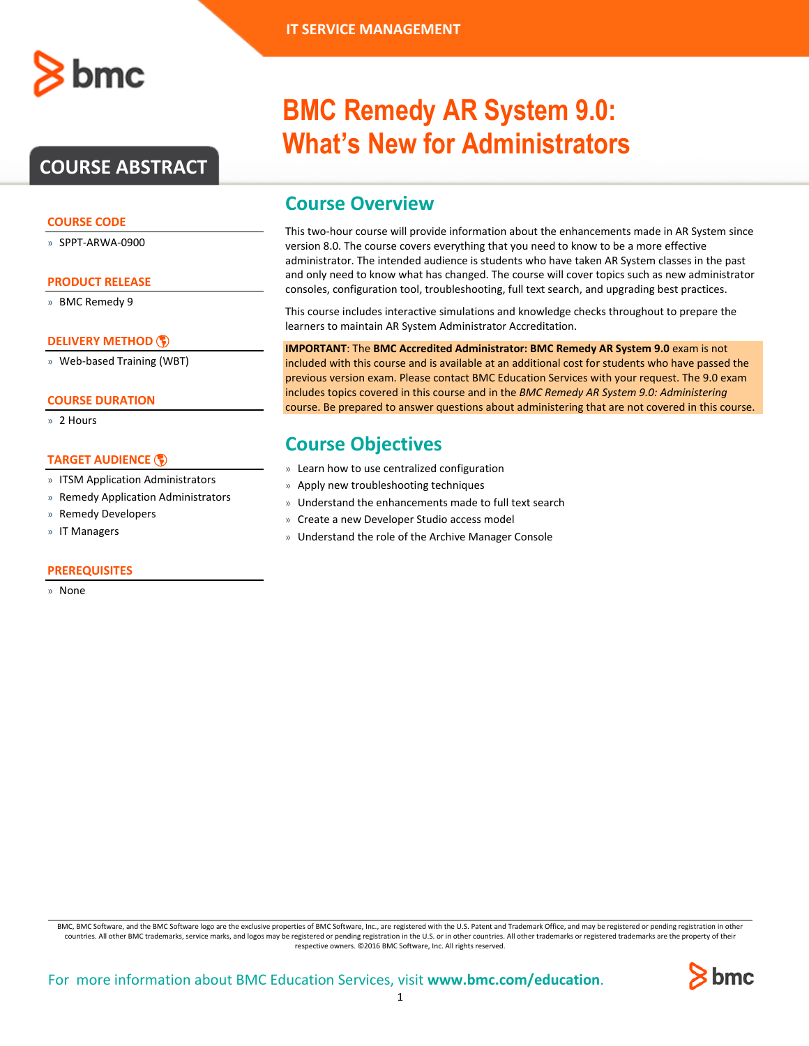## **COURSE ABSTRACT**

### **COURSE CODE**

» SPPT-ARWA-0900

#### **PRODUCT RELEASE**

» BMC Remedy 9

### **[DELIVERY METHOD](http://www.bmc.com/education/modality.html)**

» Web-based Training (WBT)

#### **COURSE DURATION**

» 2 Hours

### **[TARGET AUDIENCE](http://www.bmc.com/education/learning-paths/education-filters-learning-paths.html)**

- » ITSM Application Administrators
- » Remedy Application Administrators
- » Remedy Developers
- » IT Managers

### **PREREQUISITES**

» None

# **BMC Remedy AR System 9.0: What's New for Administrators**

### **Course Overview**

This two-hour course will provide information about the enhancements made in AR System since version 8.0. The course covers everything that you need to know to be a more effective administrator. The intended audience is students who have taken AR System classes in the past and only need to know what has changed. The course will cover topics such as new administrator consoles, configuration tool, troubleshooting, full text search, and upgrading best practices.

This course includes interactive simulations and knowledge checks throughout to prepare the learners to maintain AR System Administrator Accreditation.

**IMPORTANT**: The **BMC Accredited Administrator: BMC Remedy AR System 9.0** exam is not included with this course and is available at an additional cost for students who have passed the previous version exam. Please contact BMC Education Services with your request. The 9.0 exam includes topics covered in this course and in the *BMC Remedy AR System 9.0: Administering* course. Be prepared to answer questions about administering that are not covered in this course.

### **Course Objectives**

- » Learn how to use centralized configuration
- » Apply new troubleshooting techniques
- » Understand the enhancements made to full text search
- » Create a new Developer Studio access model
- » Understand the role of the Archive Manager Console

BMC, BMC Software, and the BMC Software logo are the exclusive properties of BMC Software, Inc., are registered with the U.S. Patent and Trademark Office, and may be registered or pending registration in other countries. All other BMC trademarks, service marks, and logos may be registered or pending registration in the U.S. or in other countries. All other trademarks or registered trademarks are the property of their respective owners. ©2016 BMC Software, Inc. All rights reserved.